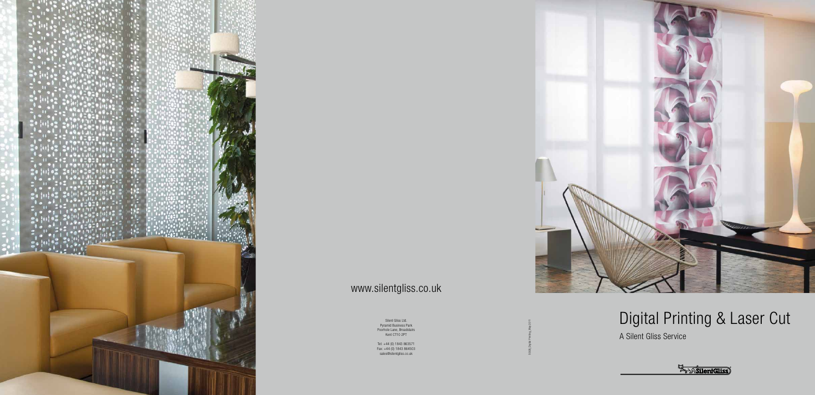Silent Gliss Ltd. Pyramid Business Park Poorhole Lane, Broadstairs Kent CT10 2PT

Tel: +44 (0) 1843 863571 Fax: +44 (0) 1843 864503 sales@silentgliss.co.uk





## www.silentgliss.co.uk

SGGB\_Digital Printing\_May 2011

# Digital Printing & Laser Cut

A Silent Gliss Service